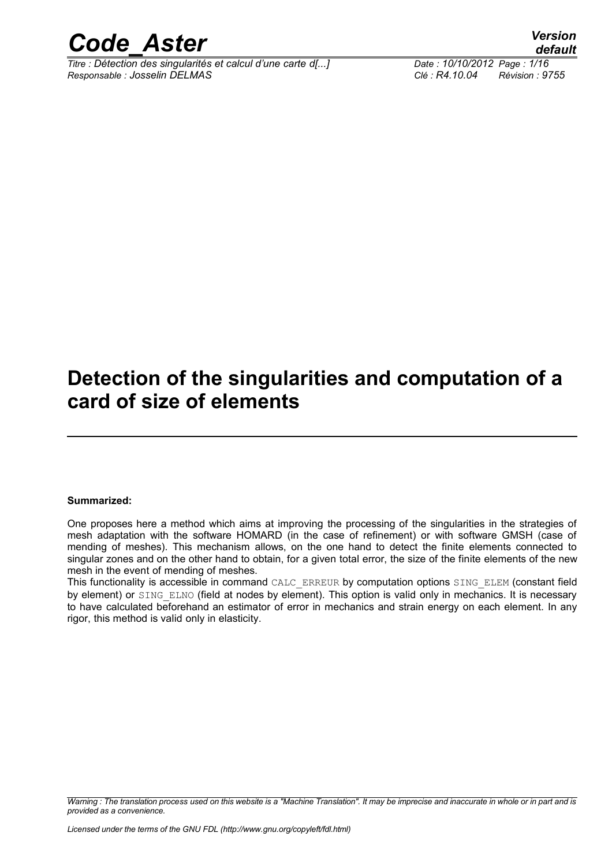

*Titre : Détection des singularités et calcul d'une carte d[...] Date : 10/10/2012 Page : 1/16 Responsable : Josselin DELMAS Clé : R4.10.04 Révision : 9755*

*default*

## **Detection of the singularities and computation of a card of size of elements**

#### **Summarized:**

One proposes here a method which aims at improving the processing of the singularities in the strategies of mesh adaptation with the software HOMARD (in the case of refinement) or with software GMSH (case of mending of meshes). This mechanism allows, on the one hand to detect the finite elements connected to singular zones and on the other hand to obtain, for a given total error, the size of the finite elements of the new mesh in the event of mending of meshes.

This functionality is accessible in command CALC\_ERREUR by computation options SING\_ELEM (constant field by element) or SING ELNO (field at nodes by element). This option is valid only in mechanics. It is necessary to have calculated beforehand an estimator of error in mechanics and strain energy on each element. In any rigor, this method is valid only in elasticity.

*Warning : The translation process used on this website is a "Machine Translation". It may be imprecise and inaccurate in whole or in part and is provided as a convenience.*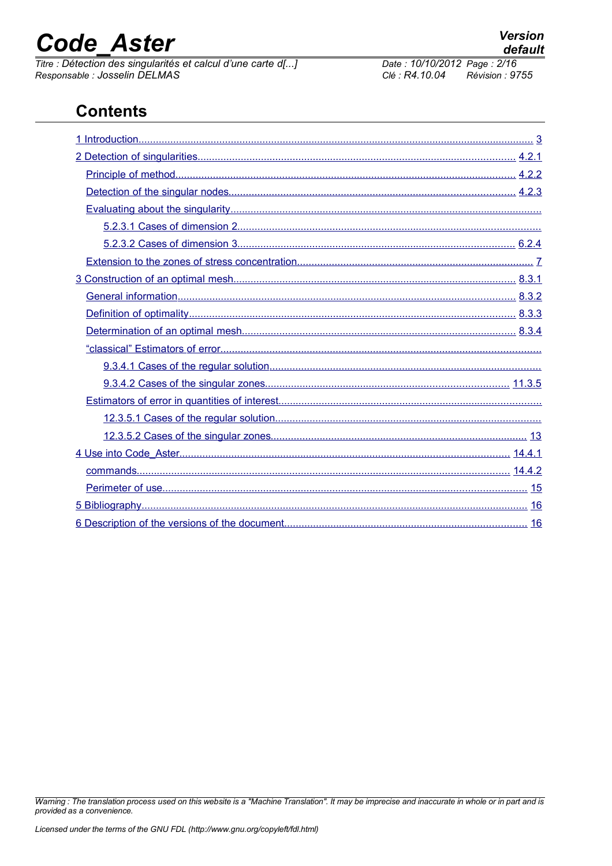# **Code Aster**

Titre : Détection des singularités et calcul d'une carte d[...] Responsable : Josselin DELMAS

#### **Version** default

Date: 10/10/2012 Page: 2/16 Clé : R4,10.04  $Révision : 9755$ 

## **Contents**

Warning : The translation process used on this website is a "Machine Translation". It may be imprecise and inaccurate in whole or in part and is provided as a convenience.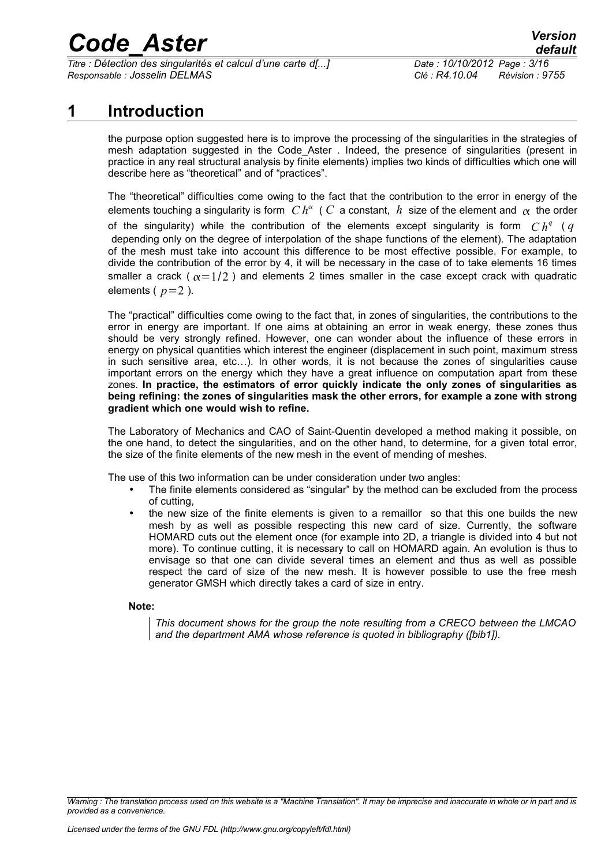*Titre : Détection des singularités et calcul d'une carte d[...] Date : 10/10/2012 Page : 3/16 Responsable : Josselin DELMAS Clé : R4.10.04 Révision : 9755*

### **1 Introduction**

<span id="page-2-0"></span>the purpose option suggested here is to improve the processing of the singularities in the strategies of mesh adaptation suggested in the Code Aster . Indeed, the presence of singularities (present in practice in any real structural analysis by finite elements) implies two kinds of difficulties which one will describe here as "theoretical" and of "practices".

The "theoretical" difficulties come owing to the fact that the contribution to the error in energy of the elements touching a singularity is form  $Ch^{\alpha}$  (  $C$  a constant,  $\,h\,$  size of the element and  $\,\alpha\,$  the order of the singularity) while the contribution of the elements except singularity is form  $Ch^q$  ( $q$  depending only on the degree of interpolation of the shape functions of the element). The adaptation of the mesh must take into account this difference to be most effective possible. For example, to divide the contribution of the error by 4, it will be necessary in the case of to take elements 16 times smaller a crack ( $\alpha = 1/2$ ) and elements 2 times smaller in the case except crack with quadratic elements  $(p=2)$ .

The "practical" difficulties come owing to the fact that, in zones of singularities, the contributions to the error in energy are important. If one aims at obtaining an error in weak energy, these zones thus should be very strongly refined. However, one can wonder about the influence of these errors in energy on physical quantities which interest the engineer (displacement in such point, maximum stress in such sensitive area, etc…). In other words, it is not because the zones of singularities cause important errors on the energy which they have a great influence on computation apart from these zones. **In practice, the estimators of error quickly indicate the only zones of singularities as being refining: the zones of singularities mask the other errors, for example a zone with strong gradient which one would wish to refine.**

The Laboratory of Mechanics and CAO of Saint-Quentin developed a method making it possible, on the one hand, to detect the singularities, and on the other hand, to determine, for a given total error, the size of the finite elements of the new mesh in the event of mending of meshes.

The use of this two information can be under consideration under two angles:

- The finite elements considered as "singular" by the method can be excluded from the process of cutting,
- the new size of the finite elements is given to a remaillor so that this one builds the new mesh by as well as possible respecting this new card of size. Currently, the software HOMARD cuts out the element once (for example into 2D, a triangle is divided into 4 but not more). To continue cutting, it is necessary to call on HOMARD again. An evolution is thus to envisage so that one can divide several times an element and thus as well as possible respect the card of size of the new mesh. It is however possible to use the free mesh generator GMSH which directly takes a card of size in entry.

#### **Note:**

*This document shows for the group the note resulting from a CRECO between the LMCAO and the department AMA whose reference is quoted in bibliography ([bib1]).*

*Warning : The translation process used on this website is a "Machine Translation". It may be imprecise and inaccurate in whole or in part and is provided as a convenience.*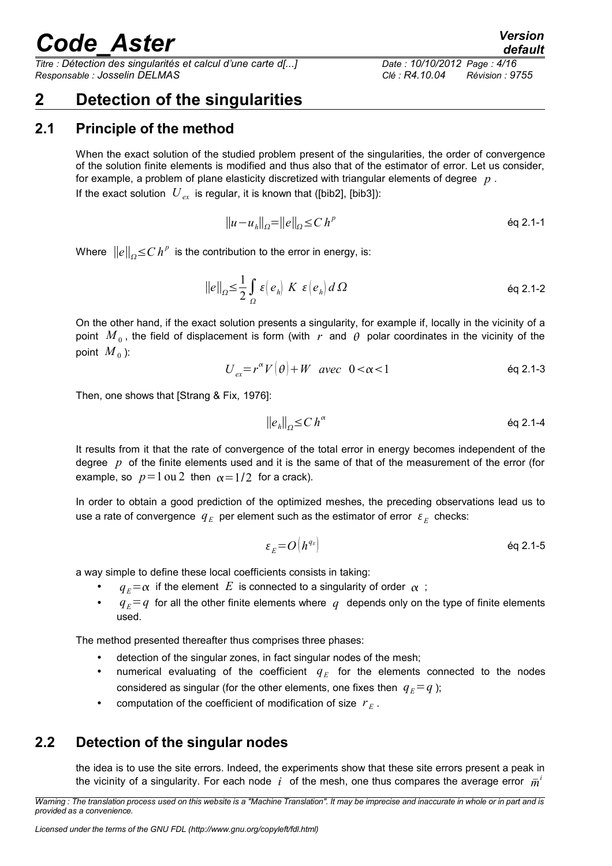*Titre : Détection des singularités et calcul d'une carte d[...] Date : 10/10/2012 Page : 4/16 Responsable : Josselin DELMAS Clé : R4.10.04 Révision : 9755*

## <span id="page-3-2"></span>**2 Detection of the singularities**

### **2.1 Principle of the method**

<span id="page-3-1"></span>When the exact solution of the studied problem present of the singularities, the order of convergence of the solution finite elements is modified and thus also that of the estimator of error. Let us consider, for example, a problem of plane elasticity discretized with triangular elements of degree *p* . If the exact solution  $U_{ex}$  is regular, it is known that ([bib2], [bib3]):

$$
||u - u_h||_{\Omega} = ||e||_{\Omega} \le C h^p
$$

Where  $\left\| e \right\|_{\varOmega} \!\! \leq \! C \, h^{\rho} \,$  is the contribution to the error in energy, is:

$$
\|e\|_{\Omega} \leq \frac{1}{2} \int_{\Omega} \varepsilon \left(e_{h}\right) K \varepsilon \left(e_{h}\right) d\Omega \tag{6q 2.1-2}
$$

On the other hand, if the exact solution presents a singularity, for example if, locally in the vicinity of a point  $\,M_{\,0}$  , the field of displacement is form (with  $\,r\,$  and  $\,\theta\,$  polar coordinates in the vicinity of the point  $\overline{M}_0$  ):

$$
U_{ex} = r^{\alpha} V(\theta) + W \quad \text{avec} \quad 0 < \alpha < 1 \tag{6q 2.1-3}
$$

Then, one shows that [Strang & Fix, 1976]:

$$
\|e_h\|_{\Omega} \le C h^{\alpha} \qquad \text{Eq 2.1-4}
$$

It results from it that the rate of convergence of the total error in energy becomes independent of the degree *p* of the finite elements used and it is the same of that of the measurement of the error (for example, so  $p=1$  ou 2 then  $\alpha=1/2$  for a crack).

In order to obtain a good prediction of the optimized meshes, the preceding observations lead us to use a rate of convergence  $|q_{E}|$  per element such as the estimator of error  $|\varepsilon_{E}|$  checks:

$$
\varepsilon_E = O\left(h^{q_E}\right) \tag{6q 2.1-5}
$$

a way simple to define these local coefficients consists in taking:

- $q_E = \alpha$  if the element *E* is connected to a singularity of order  $\alpha$ ;
- $q_E = q$  for all the other finite elements where q depends only on the type of finite elements used.

The method presented thereafter thus comprises three phases:

- detection of the singular zones, in fact singular nodes of the mesh;
- numerical evaluating of the coefficient  $q_E$  for the elements connected to the nodes considered as singular (for the other elements, one fixes then  $q_E = q$ );
- computation of the coefficient of modification of size  $r_E$ .

### **2.2 Detection of the singular nodes**

<span id="page-3-0"></span>the idea is to use the site errors. Indeed, the experiments show that these site errors present a peak in the vicinity of a singularity. For each node  $|i\rangle$  of the mesh, one thus compares the average error  $\bar{m}^i$ 

*Warning : The translation process used on this website is a "Machine Translation". It may be imprecise and inaccurate in whole or in part and is provided as a convenience.*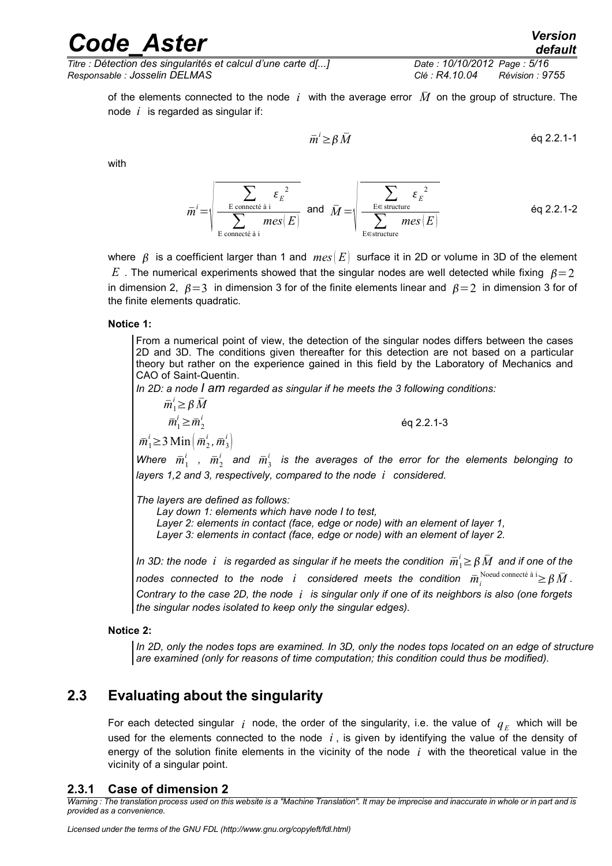of the elements connected to the node *i* with the average error *M* on the group of structure. The node *i* is regarded as singular if:

$$
\bar{m}^i \ge \beta \,\bar{M}
$$

éq 2.2.1-3

with

$$
\bar{m}^{i} = \sqrt{\frac{\sum_{\text{E connected } \hat{a} \text{ } i}}{\sum_{\text{E connected } \hat{a} \text{ } i}} \mathfrak{e}_{E}^{2}} \quad \text{and} \quad \bar{M} = \sqrt{\frac{\sum_{\text{E} \in \text{structure}} \varepsilon_{E}^{2}}{\sum_{\text{E} \in \text{structure}} \text{mes}(E)}} \quad \text{Eq 2.2.1-2}
$$

where  $\beta$  is a coefficient larger than 1 and  $mes(E)$  surface it in 2D or volume in 3D of the element  $E$ . The numerical experiments showed that the singular nodes are well detected while fixing  $B=2$ in dimension 2,  $\beta = 3$  in dimension 3 for of the finite elements linear and  $\beta = 2$  in dimension 3 for of the finite elements quadratic.

#### **Notice 1:**

 $\bar{m}_1^{\prime}$ 

From a numerical point of view, the detection of the singular nodes differs between the cases 2D and 3D. The conditions given thereafter for this detection are not based on a particular theory but rather on the experience gained in this field by the Laboratory of Mechanics and CAO of Saint-Quentin.

*In 2D: a node I am regarded as singular if he meets the 3 following conditions:*

$$
\begin{aligned}\n\overline{m}_1^i &\geq \beta \,\overline{M} \\
\overline{m}_1^i &\geq \overline{m}_2^i \\
\overline{m}_1^i &\geq 3 \,\text{Min} \left( \overline{m}_2^i, \overline{m}_3^i \right) \\
\text{here } \overline{m}_1^i, \overline{m}_2^i \text{ and } \overline{m}_3^i \text{ is the averages of the}\n\end{aligned}
$$

 $Wh$ error for the elements belonging to *layers 1,2 and 3, respectively, compared to the node i considered.*

*The layers are defined as follows:*

*Lay down 1: elements which have node I to test, Layer 2: elements in contact (face, edge or node) with an element of layer 1, Layer 3: elements in contact (face, edge or node) with an element of layer 2.*

*In 3D: the node*  $~$ *i*  $~$  *is regarded as singular if he meets the condition*  $~\bar{m}^i_{1}$ *≥*  $\beta\,\bar{M}~$  *and if one of the*  $n$ odes connected to the node  $i$  considered meets the condition  $\bar{m}_i^{\text{Noeud connecté à}}$  i $\geq$   $\beta$   $\bar{M}$  *. Contrary to the case 2D, the node i is singular only if one of its neighbors is also (one forgets the singular nodes isolated to keep only the singular edges).*

#### **Notice 2:**

*In 2D, only the nodes tops are examined. In 3D, only the nodes tops located on an edge of structure are examined (only for reasons of time computation; this condition could thus be modified).*

### **2.3 Evaluating about the singularity**

<span id="page-4-1"></span>For each detected singular  $\,$ *i* node, the order of the singularity, i.e. the value of  $\,q_{\rm\scriptscriptstyle E}^{}$  which will be used for the elements connected to the node *i* , is given by identifying the value of the density of energy of the solution finite elements in the vicinity of the node *i* with the theoretical value in the vicinity of a singular point.

#### <span id="page-4-0"></span>**2.3.1 Case of dimension 2**

*Warning : The translation process used on this website is a "Machine Translation". It may be imprecise and inaccurate in whole or in part and is provided as a convenience.*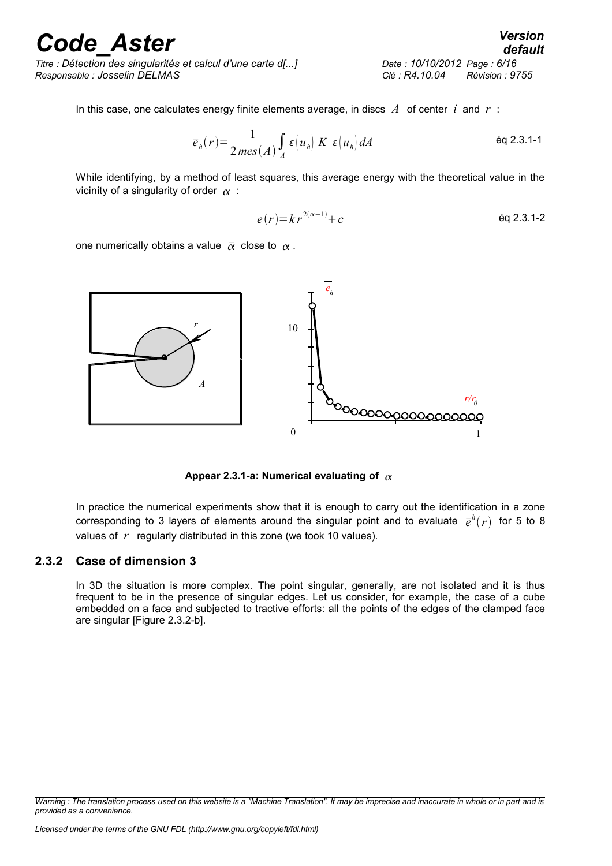*Titre : Détection des singularités et calcul d'une carte d[...] Date : 10/10/2012 Page : 6/16 Responsable : Josselin DELMAS Clé : R4.10.04 Révision : 9755*

In this case, one calculates energy finite elements average, in discs  $\vec{A}$  of center  $\vec{i}$  and  $\vec{r}$ :

$$
\overline{e}_h(r) = \frac{1}{2\operatorname{mes}(A)} \int_A \varepsilon \left(u_h\right) K \, \varepsilon \left(u_h\right) dA \tag{6q 2.3.1-1}
$$

While identifying, by a method of least squares, this average energy with the theoretical value in the vicinity of a singularity of order  $\alpha$ :

$$
e(r) = kr^{2(\alpha - 1)} + c \qquad \qquad \text{eq 2.3.1-2}
$$

one numerically obtains a value  $\bar{\alpha}$  close to  $\alpha$ .



Appear 2.3.1-a: Numerical evaluating of  $\alpha$ 

In practice the numerical experiments show that it is enough to carry out the identification in a zone corresponding to 3 layers of elements around the singular point and to evaluate  $\bar{e}^h(r)$  for 5 to 8 values of *r* regularly distributed in this zone (we took 10 values).

#### **2.3.2 Case of dimension 3**

<span id="page-5-0"></span>In 3D the situation is more complex. The point singular, generally, are not isolated and it is thus frequent to be in the presence of singular edges. Let us consider, for example, the case of a cube embedded on a face and subjected to tractive efforts: all the points of the edges of the clamped face are singular [Figure 2.3.2-b].

*Warning : The translation process used on this website is a "Machine Translation". It may be imprecise and inaccurate in whole or in part and is provided as a convenience.*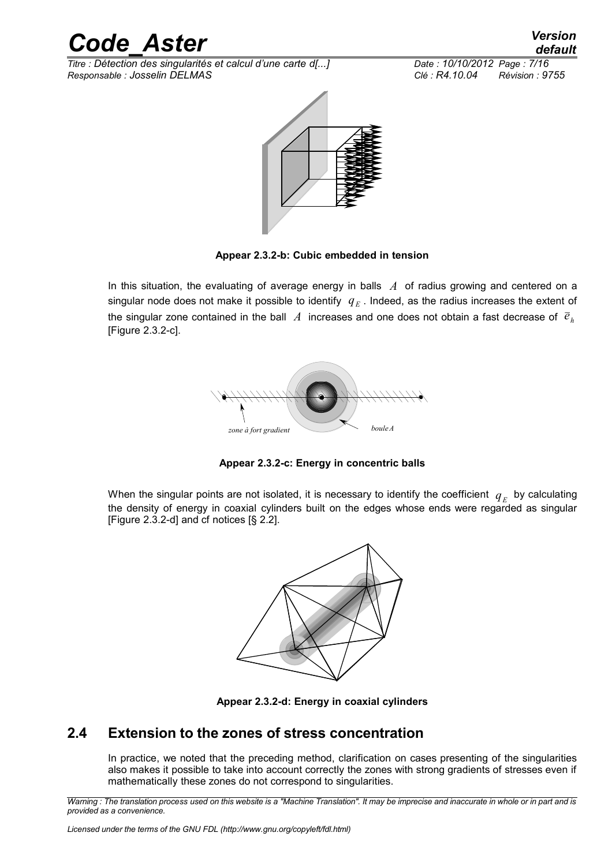

*Titre : Détection des singularités et calcul d'une carte d[...] Date : 10/10/2012 Page : 7/16 Responsable : Josselin DELMAS Clé : R4.10.04 Révision : 9755*



**Appear 2.3.2-b: Cubic embedded in tension**

In this situation, the evaluating of average energy in balls *A* of radius growing and centered on a singular node does not make it possible to identify  $|q_{\scriptscriptstyle E}^+|$  Indeed, as the radius increases the extent of the singular zone contained in the ball  $\Lambda$  increases and one does not obtain a fast decrease of  $\bar{e}_h$ [Figure 2.3.2-c].



**Appear 2.3.2-c: Energy in concentric balls**

When the singular points are not isolated, it is necessary to identify the coefficient  $\ q_{_E}$  by calculating the density of energy in coaxial cylinders built on the edges whose ends were regarded as singular [Figure 2.3.2-d] and cf notices [§ 2.2].





### **2.4 Extension to the zones of stress concentration**

<span id="page-6-0"></span>In practice, we noted that the preceding method, clarification on cases presenting of the singularities also makes it possible to take into account correctly the zones with strong gradients of stresses even if mathematically these zones do not correspond to singularities.

*Warning : The translation process used on this website is a "Machine Translation". It may be imprecise and inaccurate in whole or in part and is provided as a convenience.*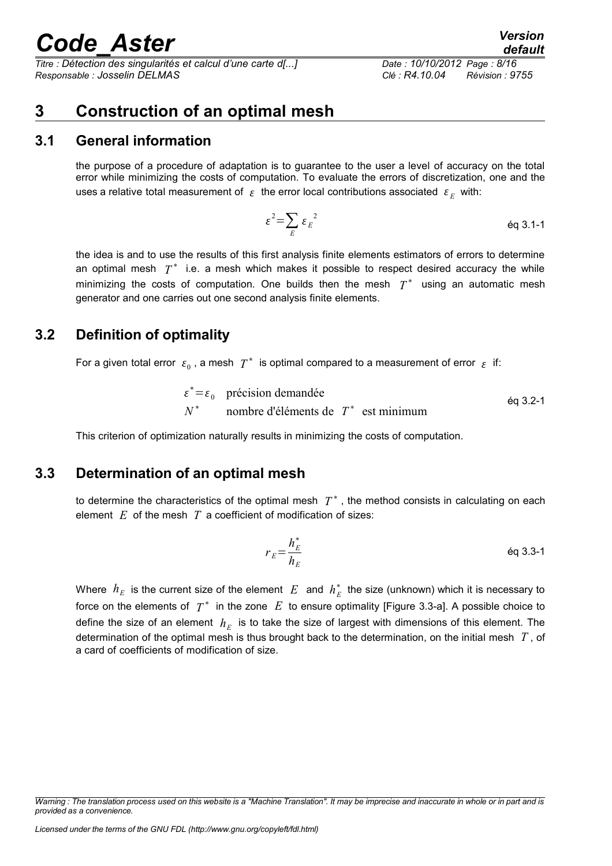*Titre : Détection des singularités et calcul d'une carte d[...] Date : 10/10/2012 Page : 8/16 Responsable : Josselin DELMAS Clé : R4.10.04 Révision : 9755*

## <span id="page-7-3"></span>**3 Construction of an optimal mesh**

### **3.1 General information**

<span id="page-7-2"></span>the purpose of a procedure of adaptation is to guarantee to the user a level of accuracy on the total error while minimizing the costs of computation. To evaluate the errors of discretization, one and the uses a relative total measurement of  $|\varepsilon|$  the error local contributions associated  $|\varepsilon_{E}|$  with:

$$
\varepsilon^2 = \sum_E \varepsilon_E^2 \qquad \qquad \text{Eq 3.1-1}
$$

the idea is and to use the results of this first analysis finite elements estimators of errors to determine an optimal mesh  $T^*$  i.e. a mesh which makes it possible to respect desired accuracy the while minimizing the costs of computation. One builds then the mesh  $T^*$  using an automatic mesh generator and one carries out one second analysis finite elements.

### **3.2 Definition of optimality**

<span id="page-7-1"></span>For a given total error  $\epsilon_0$ , a mesh  $T^*$  is optimal compared to a measurement of error  $\epsilon$  if:

$$
\varepsilon^* = \varepsilon_0
$$
 précision demandée  
 $N^*$  nombre d'éléments de  $T^*$  est minimum

This criterion of optimization naturally results in minimizing the costs of computation.

### **3.3 Determination of an optimal mesh**

<span id="page-7-0"></span>to determine the characteristics of the optimal mesh  $T^*$  , the method consists in calculating on each element *E* of the mesh *T* a coefficient of modification of sizes:

$$
r_E = \frac{h_E^*}{h_E}
$$
 \t\t\t\t $\text{Eq 3.3-1}$ 

Where  $h_E$  is the current size of the element  $E$  and  $h_E^*$  the size (unknown) which it is necessary to force on the elements of  $T^*$  in the zone  $|E|$  to ensure optimality [Figure 3.3-a]. A possible choice to define the size of an element  $h_E^-$  is to take the size of largest with dimensions of this element. The determination of the optimal mesh is thus brought back to the determination, on the initial mesh *T* , of a card of coefficients of modification of size.

*Warning : The translation process used on this website is a "Machine Translation". It may be imprecise and inaccurate in whole or in part and is provided as a convenience.*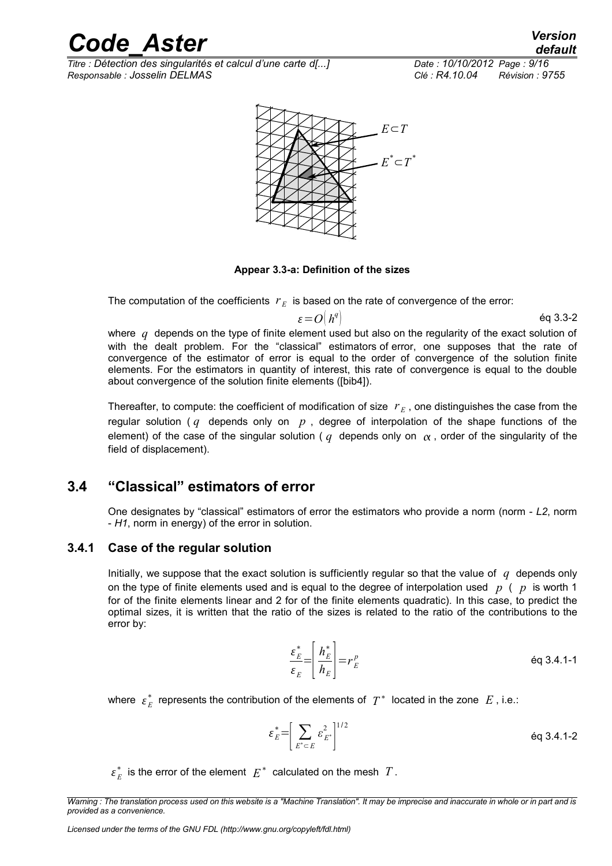*Titre : Détection des singularités et calcul d'une carte d[...] Date : 10/10/2012 Page : 9/16 Responsable : Josselin DELMAS Clé : R4.10.04 Révision : 9755*

*default*



**Appear 3.3-a: Definition of the sizes**

The computation of the coefficients  $r_E^{\parallel}$  is based on the rate of convergence of the error:

$$
\varepsilon = O\big(h^q\big) \tag{6q 3.3-2}
$$

where *q* depends on the type of finite element used but also on the regularity of the exact solution of with the dealt problem. For the "classical" estimators of error, one supposes that the rate of convergence of the estimator of error is equal to the order of convergence of the solution finite elements. For the estimators in quantity of interest, this rate of convergence is equal to the double about convergence of the solution finite elements ([bib4]).

Thereafter, to compute: the coefficient of modification of size  $r_E$ , one distinguishes the case from the regular solution ( $q$  depends only on  $p$ , degree of interpolation of the shape functions of the element) of the case of the singular solution ( $q$  depends only on  $\alpha$ , order of the singularity of the field of displacement).

### **3.4 "Classical" estimators of error**

<span id="page-8-1"></span>One designates by "classical" estimators of error the estimators who provide a norm (norm - *L2*, norm - *H1*, norm in energy) of the error in solution.

### **3.4.1 Case of the regular solution**

<span id="page-8-0"></span>Initially, we suppose that the exact solution is sufficiently regular so that the value of *q* depends only on the type of finite elements used and is equal to the degree of interpolation used *p* ( *p* is worth 1 for of the finite elements linear and 2 for of the finite elements quadratic). In this case, to predict the optimal sizes, it is written that the ratio of the sizes is related to the ratio of the contributions to the error by:

$$
\frac{\varepsilon_E^*}{\varepsilon_E} = \left[ \frac{h_E^*}{h_E} \right] = r_E^p
$$
\n
$$
\text{Eq 3.4.1-1}
$$

where  $\; \epsilon_E^{*} \;$  represents the contribution of the elements of  $\; T^{*} \;$  located in the zone  $\; E$  , i.e.:

$$
\varepsilon_E^* = \left[ \sum_{E^* \subset E} \varepsilon_{E^*}^2 \right]^{1/2} \tag{6q 3.4.1-2}
$$

 $\varepsilon_E^*$  is the error of the element  $|E^*|$  calculated on the mesh  $|T|$ .

*Warning : The translation process used on this website is a "Machine Translation". It may be imprecise and inaccurate in whole or in part and is provided as a convenience.*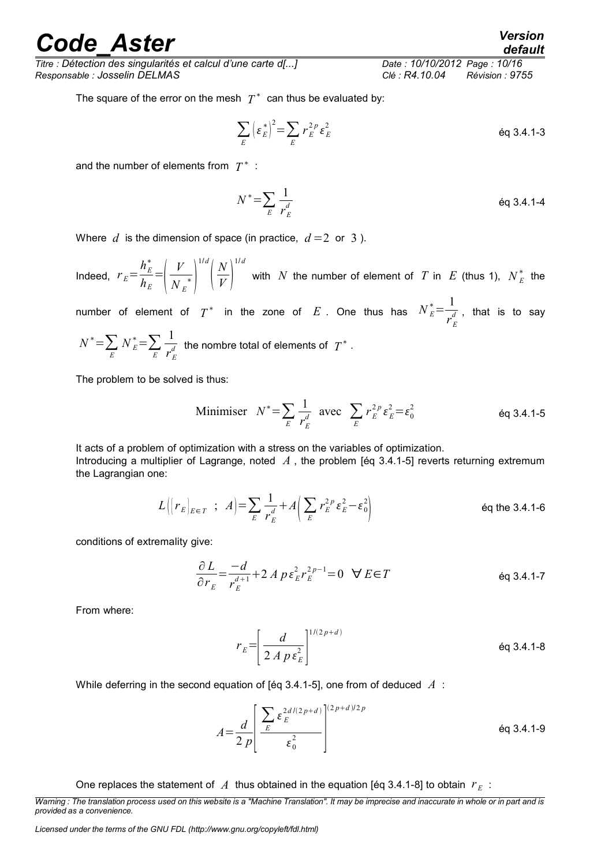*Titre : Détection des singularités et calcul d'une carte d[...] Date : 10/10/2012 Page : 10/16 Responsable : Josselin DELMAS Clé : R4.10.04 Révision : 9755*

The square of the error on the mesh  $T^*$  can thus be evaluated by:

$$
\sum_{E} \left(\varepsilon_E^*\right)^2 = \sum_{E} r_E^{2p} \varepsilon_E^2
$$

and the number of elements from  $T^*$ :

$$
N^* = \sum_E \frac{1}{r_E^d}
$$
 eq 3.4.1-4

Where  $d$  is the dimension of space (in practice,  $d=2$  or 3).

Indeed,  $r_E =$  $h_E^*$  $h_{\scriptscriptstyle E}$ =  $\mid$  1 *V*  $N_{E}^{\ast}$ 1/ *d*  $\overline{\phantom{a}}$ *N*  $\overline{V}$ 1/ *d* with *N* the number of element of *T* in *E* (thus 1),  $N_E^*$  the

number of element of  $T^*$  in the zone of  $E$  . One thus has  $N_E^* = \frac{1}{r^d}$  $\overline{r^d_E}$  , that is to say

$$
N^* = \sum_E N_E^* = \sum_E \frac{1}{r_E^d}
$$
 the nombre total of elements of  $T^*$ .

The problem to be solved is thus:

Minimiser 
$$
N^* = \sum_E \frac{1}{r_E^d}
$$
 avec  $\sum_E r_E^{2p} \varepsilon_E^2 = \varepsilon_0^2$  \t\t eq 3.4.1-5

It acts of a problem of optimization with a stress on the variables of optimization. Introducing a multiplier of Lagrange, noted *A* , the problem [éq 3.4.1-5] reverts returning extremum the Lagrangian one:

$$
L\left(\left\{r_E\right\}_{E\in\,T} \ ; \ A\right) = \sum_{E} \frac{1}{r_E^d} + A\left(\sum_{E} r_E^{2p} \varepsilon_E^2 - \varepsilon_0^2\right) \tag{Eq the 3.4.1-6}
$$

conditions of extremality give:

$$
\frac{\partial L}{\partial r_E} = \frac{-d}{r_E^{d+1}} + 2 A p \varepsilon_E^2 r_E^{2p-1} = 0 \quad \forall E \in T
$$
 eq 3.4.1-7

From where:

$$
r_E = \left[\frac{d}{2A\ p\ \varepsilon_E^2}\right]^{1/(2\ p+d)}
$$
éq 3.4.1-8

While deferring in the second equation of [éq 3.4.1-5], one from of deduced *A* :

$$
A = \frac{d}{2 p} \left[ \frac{\sum_{E} \varepsilon_{E}^{2d/(2 p + d)}}{\varepsilon_0^2} \right]^{(2 p + d)/2p}
$$
éq 3.4.1-9

One replaces the statement of  $\overline{A}$  thus obtained in the equation [éq 3.4.1-8] to obtain  $\overline{r}_E$ :

*Warning : The translation process used on this website is a "Machine Translation". It may be imprecise and inaccurate in whole or in part and is provided as a convenience.*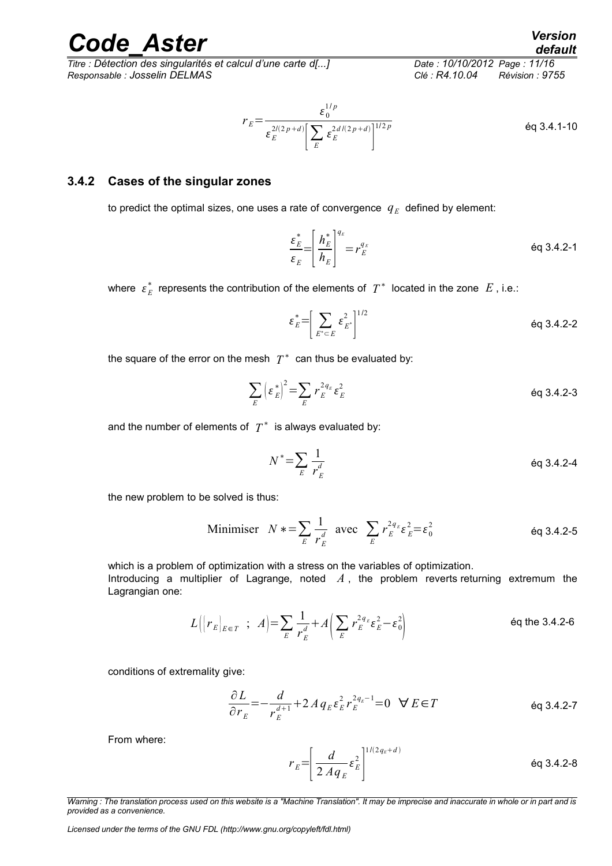*Titre : Détection des singularités et calcul d'une carte d[...] Date : 10/10/2012 Page : 11/16 Responsable : Josselin DELMAS Clé : R4.10.04 Révision : 9755*

$$
r_E = \frac{\varepsilon_0^{1/p}}{\varepsilon_E^{2/(2p+d)} \left[ \sum_E \varepsilon_E^{2d/(2p+d)} \right]^{1/2p}}
$$
eq 3.4.1-10

#### **3.4.2 Cases of the singular zones**

<span id="page-10-0"></span>to predict the optimal sizes, one uses a rate of convergence  $q_E$  defined by element:

$$
\frac{\varepsilon_E^*}{\varepsilon_E} = \left[ \frac{h_E^*}{h_E} \right]^{q_E} = r_E^{q_E}
$$
\n
$$
\text{Eq 3.4.2-1}
$$

where  $\{\varepsilon_{E}^*$  represents the contribution of the elements of  $\|T^*\|$  located in the zone  $|E|$ , i.e.:

$$
\varepsilon_E^* = \left[ \sum_{E^* \subset E} \varepsilon_{E^*}^2 \right]^{1/2} \qquad \qquad \text{Eq 3.4.2-2}
$$

the square of the error on the mesh  $|T^*|$  can thus be evaluated by:

$$
\sum_{E} \left(\varepsilon_E^*\right)^2 = \sum_{E} r_E^{2q_E} \varepsilon_E^2
$$

and the number of elements of  $|T^*|\,$  is always evaluated by:

$$
N^* = \sum_E \frac{1}{r_E^d}
$$
 \t\t\t\t $\text{eq } 3.4.2-4$ 

the new problem to be solved is thus:

Minimiser 
$$
N * = \sum_{E} \frac{1}{r_E^d}
$$
 avec  $\sum_{E} r_E^{2q_E} \varepsilon_E^2 = \varepsilon_0^2$  éq 3.4.2-5

which is a problem of optimization with a stress on the variables of optimization. Introducing a multiplier of Lagrange, noted *A* , the problem reverts returning extremum the Lagrangian one:

$$
L\Big(\Big(r_E\Big)_{E\in\varUpsilon} \; ; \; A\Big) = \sum_E \frac{1}{r_E^d} + A\Big(\sum_E r_E^{2q_E} \varepsilon_E^2 - \varepsilon_0^2\Big) \tag{6q the 3.4.2-6}
$$

conditions of extremality give:

$$
\frac{\partial L}{\partial r_E} = -\frac{d}{r_E^{d+1}} + 2A q_E \varepsilon_E^2 r_E^{2q_E - 1} = 0 \quad \forall E \in T
$$

From where:

$$
r_E = \left[\frac{d}{2Aq_E} \varepsilon_E^2\right]^{1/(2q_E + d)}
$$
éq 3.4.2-8

*Licensed under the terms of the GNU FDL (http://www.gnu.org/copyleft/fdl.html)*

*Warning : The translation process used on this website is a "Machine Translation". It may be imprecise and inaccurate in whole or in part and is provided as a convenience.*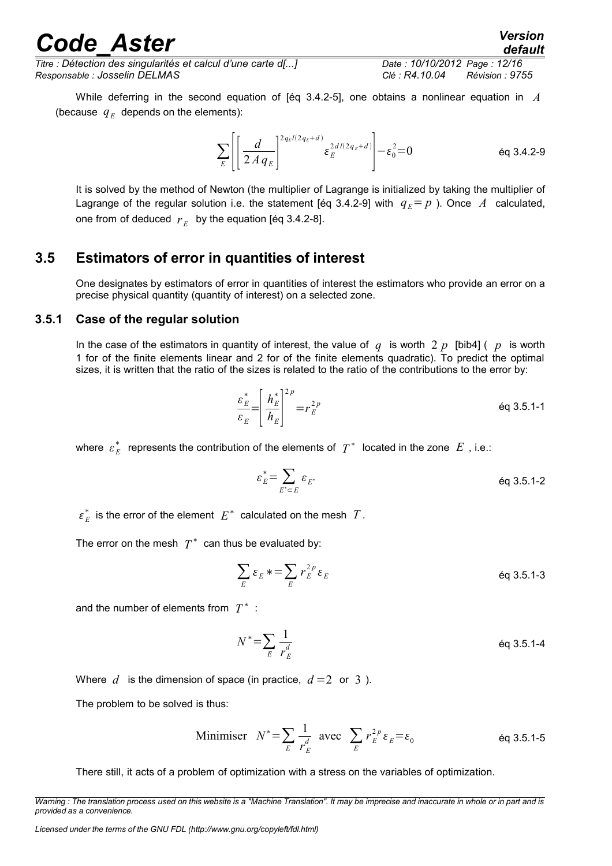*Titre : Détection des singularités et calcul d'une carte d[...] Date : 10/10/2012 Page : 12/16 Responsable : Josselin DELMAS Clé : R4.10.04 Révision : 9755*

While deferring in the second equation of [éq 3.4.2-5], one obtains a nonlinear equation in *A* (because  $q_E$  depends on the elements):

$$
\sum_{E} \left[ \left[ \frac{d}{2A q_E} \right]^{2q_E/(2q_E + d)} \varepsilon_E^{2d/(2q_E + d)} \right] - \varepsilon_0^2 = 0 \qquad \text{Eq 3.4.2-9}
$$

It is solved by the method of Newton (the multiplier of Lagrange is initialized by taking the multiplier of Lagrange of the regular solution i.e. the statement [éq 3.4.2-9] with  $q_E = p$  ). Once A calculated, one from of deduced  $r_E^-$  by the equation [éq 3.4.2-8].

### **3.5 Estimators of error in quantities of interest**

<span id="page-11-1"></span>One designates by estimators of error in quantities of interest the estimators who provide an error on a precise physical quantity (quantity of interest) on a selected zone.

#### **3.5.1 Case of the regular solution**

<span id="page-11-0"></span>In the case of the estimators in quantity of interest, the value of  $q$  is worth 2  $p$  [bib4] (  $p$  is worth 1 for of the finite elements linear and 2 for of the finite elements quadratic). To predict the optimal sizes, it is written that the ratio of the sizes is related to the ratio of the contributions to the error by:

$$
\frac{\varepsilon_E^*}{\varepsilon_E} = \left(\frac{h_E^*}{h_E}\right)^{2p} = r_E^{2p}
$$
\néq 3.5.1-1

where  $\; \varepsilon_{E}^{\,*} \;$  represents the contribution of the elements of  $\; T^{\,*} \;$  located in the zone  $\; E\;$  , i.e.:

$$
\varepsilon_E^* = \sum_{E^* \subset E} \varepsilon_{E^*} \qquad \qquad \text{Eq 3.5.1-2}
$$

 $\varepsilon_E^*$  is the error of the element  $E^*$  calculated on the mesh  $T$ .

The error on the mesh  $T^*$  can thus be evaluated by:

$$
\sum_{E} \varepsilon_{E} \ast = \sum_{E} r_{E}^{2p} \varepsilon_{E}
$$

and the number of elements from  $T^*$ :

$$
N^* = \sum_E \frac{1}{r_E^d}
$$
 eq 3.5.1-4

Where  $d$  is the dimension of space (in practice,  $d=2$  or 3).

The problem to be solved is thus:

Minimiser 
$$
N^* = \sum_E \frac{1}{r_E^d}
$$
 avec  $\sum_E r_E^{2p} \varepsilon_E = \varepsilon_0$  éq 3.5.1-5

There still, it acts of a problem of optimization with a stress on the variables of optimization.

*Warning : The translation process used on this website is a "Machine Translation". It may be imprecise and inaccurate in whole or in part and is provided as a convenience.*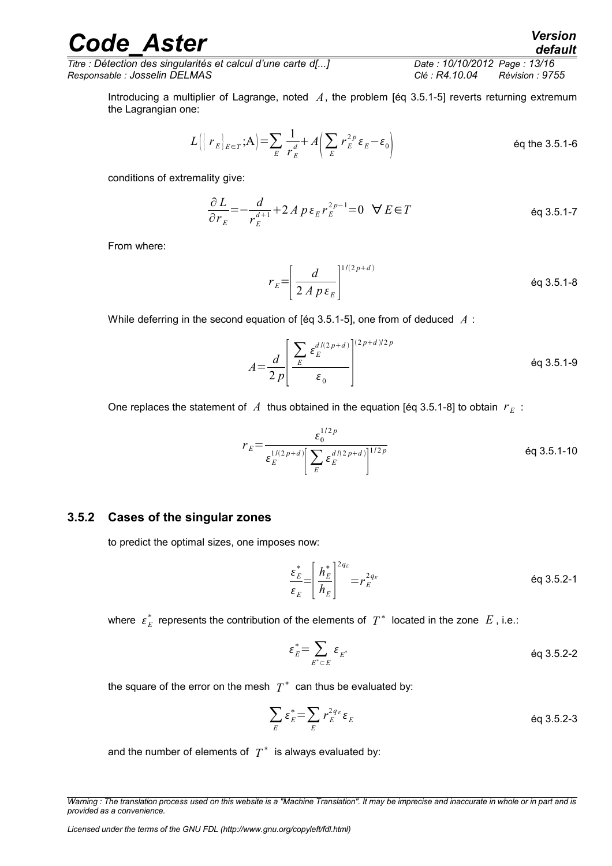*Titre : Détection des singularités et calcul d'une carte d[...] Date : 10/10/2012 Page : 13/16 Responsable : Josselin DELMAS Clé : R4.10.04 Révision : 9755*

Introducing a multiplier of Lagrange, noted *A*, the problem [éq 3.5.1-5] reverts returning extremum the Lagrangian one:

$$
L\left(\left\{r_E\right\}_{E\in\mathcal{T}};\mathbf{A}\right) = \sum_{E} \frac{1}{r_E^d} + A\left(\sum_{E} r_E^{2p} \varepsilon_E - \varepsilon_0\right)
$$
 eq the 3.5.1-6

conditions of extremality give:

$$
\frac{\partial L}{\partial r_E} = -\frac{d}{r_E^{d+1}} + 2A p \varepsilon_E r_E^{2p-1} = 0 \quad \forall E \in T
$$

From where:

 $r_E = \frac{1}{2}$ *d*  $2 A p \varepsilon_{E}$  $1/(2 p+d)$ éq 3.5.1-8

While deferring in the second equation of [éq 3.5.1-5], one from of deduced *A* :

$$
A = \frac{d}{2 p} \left[ \frac{\sum_{E} \varepsilon_E^{d/(2 p + d)}}{\varepsilon_0} \right]^{(2 p + d)/2 p}
$$
éq 3.5.1-9

One replaces the statement of  $\overline{A}$  thus obtained in the equation [éq 3.5.1-8] to obtain  $\overline{r}_E$ :

$$
r_E = \frac{\varepsilon_0^{1/2 p}}{\varepsilon_E^{1/(2 p + d)} \left[ \sum_E \varepsilon_E^{d/(2 p + d)} \right]^{1/2 p}}
$$
eq 3.5.1-10

#### **3.5.2 Cases of the singular zones**

<span id="page-12-0"></span>to predict the optimal sizes, one imposes now:

$$
\frac{\varepsilon_E^*}{\varepsilon_E} = \left(\frac{h_E^*}{h_E}\right)^{2q_E} = r_E^{2q_E}
$$
\n
$$
\text{Eq 3.5.2-1}
$$

where  $\{\varepsilon_{E}^*$  represents the contribution of the elements of  $\|T^*\|$  located in the zone  $|E|$ , i.e.:

$$
\varepsilon_E^* = \sum_{E^* \subset E} \varepsilon_{E^*} \qquad \qquad \text{Eq 3.5.2-2}
$$

the square of the error on the mesh  $|T^*|$  can thus be evaluated by:

$$
\sum_{E} \varepsilon_{E}^{*} = \sum_{E} r_{E}^{2q_{E}} \varepsilon_{E}
$$

and the number of elements of  $|T^*|$  is always evaluated by:

*Warning : The translation process used on this website is a "Machine Translation". It may be imprecise and inaccurate in whole or in part and is provided as a convenience.*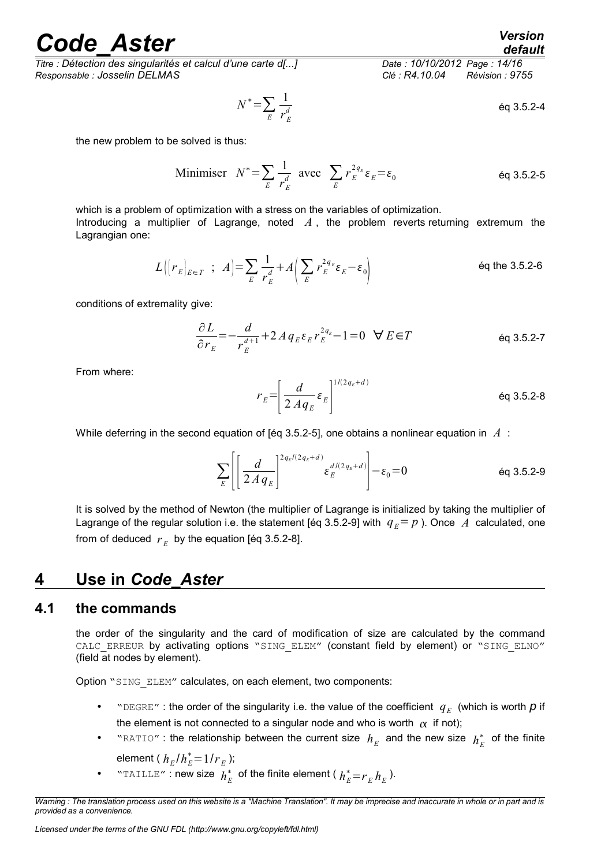*Titre : Détection des singularités et calcul d'une carte d[...] Date : 10/10/2012 Page : 14/16 Responsable : Josselin DELMAS Clé : R4.10.04 Révision : 9755*

$$
N^* = \sum_E \frac{1}{r_E^d}
$$
 eq 3.5.2-4

the new problem to be solved is thus:

Minimiser 
$$
N^* = \sum_E \frac{1}{r_E^d}
$$
 avec  $\sum_E r_E^{2q_E} \varepsilon_E = \varepsilon_0$  éq 3.5.2-5

which is a problem of optimization with a stress on the variables of optimization. Introducing a multiplier of Lagrange, noted *A* , the problem reverts returning extremum the Lagrangian one:

$$
L\Big(\Big|\,r_E\big|_{E\in\,T}\;\;;\;\;A\Big)=\sum_E\frac{1}{r_E^d}+A\Big(\sum_E r_E^{2q_E}\varepsilon_E-\varepsilon_0\Big)\qquad\qquad\text{6q the 3.5.2-6}
$$

conditions of extremality give:

$$
\frac{\partial L}{\partial r_E} = -\frac{d}{r_E^{d+1}} + 2 A q_E \varepsilon_E r_E^{2q_E} - 1 = 0 \quad \forall E \in T
$$

From where:

$$
r_E = \left[\frac{d}{2 A q_E} \varepsilon_E\right]^{1/(2q_E + d)}
$$

While deferring in the second equation of [éq 3.5.2-5], one obtains a nonlinear equation in *A* :

$$
\sum_{E} \left[ \left( \frac{d}{2A q_E} \right)^{2q_E/(2q_E + d)} \varepsilon_E^{d/(2q_E + d)} \right] - \varepsilon_0 = 0 \qquad \text{Eq 3.5.2-9}
$$

It is solved by the method of Newton (the multiplier of Lagrange is initialized by taking the multiplier of Lagrange of the regular solution i.e. the statement [éq 3.5.2-9] with  $q_E = p$  ). Once A calculated, one from of deduced  $r_E$  by the equation [éq 3.5.2-8].

### <span id="page-13-1"></span>**4 Use in** *Code\_Aster*

#### **4.1 the commands**

<span id="page-13-0"></span>the order of the singularity and the card of modification of size are calculated by the command CALC ERREUR by activating options "SING ELEM" (constant field by element) or "SING ELNO" (field at nodes by element).

Option "SING ELEM" calculates, on each element, two components:

- "DEGRE": the order of the singularity i.e. the value of the coefficient  $q_E$  (which is worth  $p$  if the element is not connected to a singular node and who is worth  $\alpha$  if not);
- "RATIO": the relationship between the current size  $h_E$  and the new size  $h_E^*$  of the finite

element ( 
$$
h_E/h_E^* = 1/r_E
$$

• "TAILLE": new size  $h_E^*$  of the finite element ( $h_E^* = r_E h_E$ ).

);

*default*

*Warning : The translation process used on this website is a "Machine Translation". It may be imprecise and inaccurate in whole or in part and is provided as a convenience.*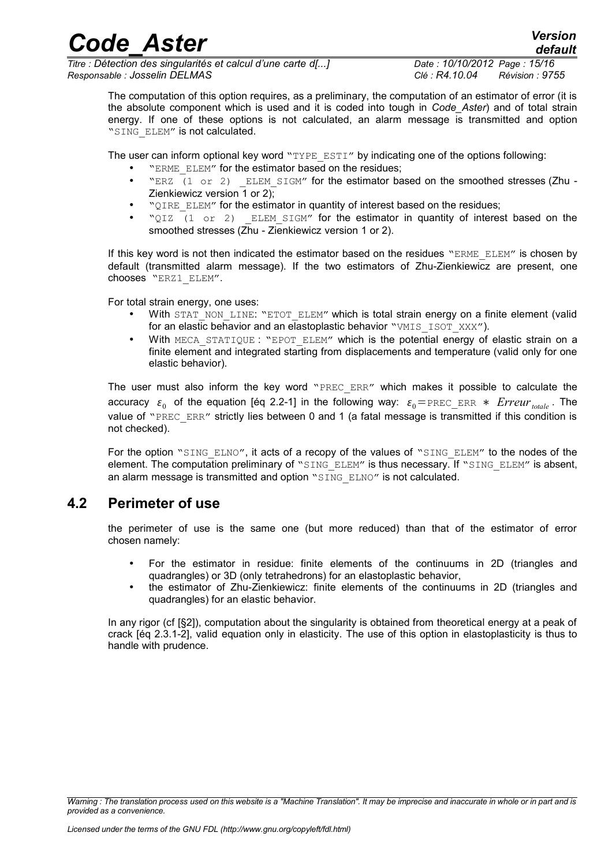*Code\_Aster Version Titre : Détection des singularités et calcul d'une carte d[...] Date : 10/10/2012 Page : 15/16*

*Responsable : Josselin DELMAS Clé : R4.10.04 Révision : 9755*

*default*

The computation of this option requires, as a preliminary, the computation of an estimator of error (it is the absolute component which is used and it is coded into tough in *Code\_Aster*) and of total strain energy. If one of these options is not calculated, an alarm message is transmitted and option "SING ELEM" is not calculated.

The user can inform optional key word " $TYPE$   $ESTI''$  by indicating one of the options following:

- "ERME\_ELEM" for the estimator based on the residues;
- "ERZ  $(1 \text{ or } 2)$  ELEM SIGM" for the estimator based on the smoothed stresses (Zhu -Zienkiewicz version 1 or 2);
- "QIRE\_ELEM" for the estimator in quantity of interest based on the residues;
- "QIZ (1 or 2) ELEM SIGM" for the estimator in quantity of interest based on the smoothed stresses (Zhu - Zienkiewicz version 1 or 2).

If this key word is not then indicated the estimator based on the residues "ERME\_ELEM" is chosen by default (transmitted alarm message). If the two estimators of Zhu-Zienkiewicz are present, one chooses "ERZ1\_ELEM".

For total strain energy, one uses:

- With STAT\_NON\_LINE: "ETOT\_ELEM" which is total strain energy on a finite element (valid for an elastic behavior and an elastoplastic behavior "VMIS\_ISOT\_XXX").
- With MECA\_STATIQUE : "EPOT\_ELEM" which is the potential energy of elastic strain on a finite element and integrated starting from displacements and temperature (valid only for one elastic behavior).

The user must also inform the key word "PREC ERR" which makes it possible to calculate the accuracy  $\varepsilon_0$  of the equation [éq 2.2-1] in the following way:  $\varepsilon_0$ =PREC\_ERR  $*$  *Erreur<sub>totale</sub>* . The value of "PREC\_ERR" strictly lies between 0 and 1 (a fatal message is transmitted if this condition is not checked).

For the option "SING ELNO", it acts of a recopy of the values of "SING ELEM" to the nodes of the element. The computation preliminary of "SING ELEM" is thus necessary. If "SING ELEM" is absent, an alarm message is transmitted and option "SING ELNO" is not calculated.

### **4.2 Perimeter of use**

<span id="page-14-0"></span>the perimeter of use is the same one (but more reduced) than that of the estimator of error chosen namely:

- For the estimator in residue: finite elements of the continuums in 2D (triangles and quadrangles) or 3D (only tetrahedrons) for an elastoplastic behavior,
- the estimator of Zhu-Zienkiewicz: finite elements of the continuums in 2D (triangles and quadrangles) for an elastic behavior.

In any rigor (cf [§2]), computation about the singularity is obtained from theoretical energy at a peak of crack [éq 2.3.1-2], valid equation only in elasticity. The use of this option in elastoplasticity is thus to handle with prudence.

*Warning : The translation process used on this website is a "Machine Translation". It may be imprecise and inaccurate in whole or in part and is provided as a convenience.*